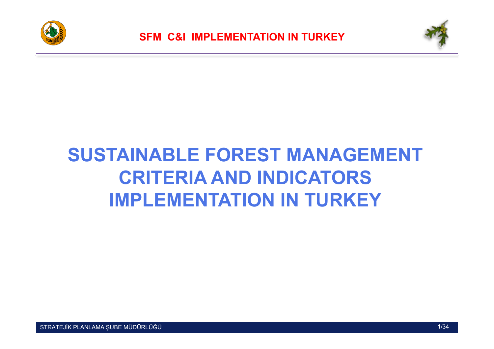



## **SUSTAINABLE FOREST MANAGEMENT CRITERIA AND INDICATORS IMPLEMENTATION IN TURKEY**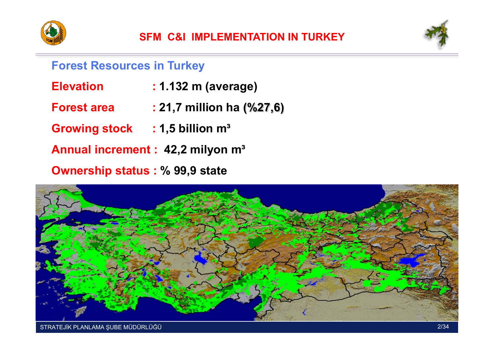



#### **Forest Resources in Turkey**

- **Elevation : 1.132 m (average)**
- **Forest area : 21,7 million ha (%27,6)**
- **Growing stock : 1,5 billion <sup>m</sup><sup>³</sup>**
- **Annual increment : 42,2 milyon m³**
- **Ownership status : % 99,9 state**

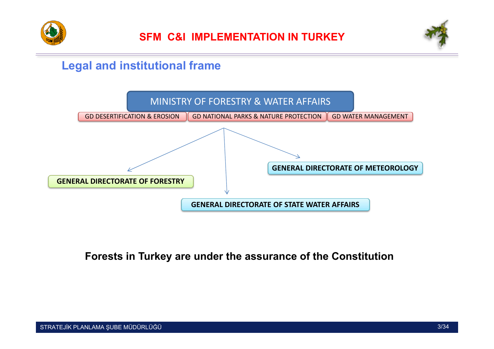



### **Legal and institutional frame**



#### **Forests in Turkey are under the assurance of the Constitution**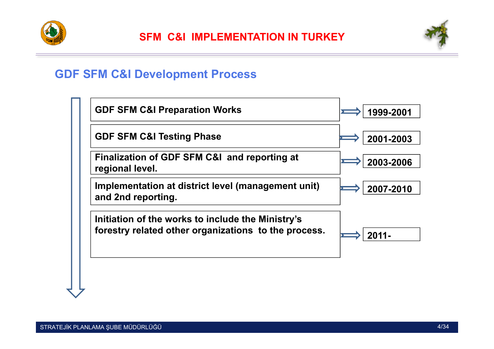



#### **GDF SFM C&I Development Process**

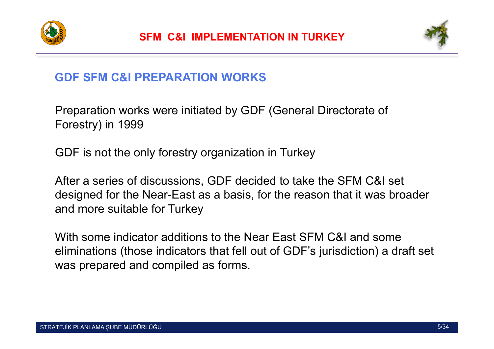



#### **GDF SFM C&I PREPARATION WORKS**

Preparation works were initiated by GDF (General Directorate of Forestry) in 1999

GDF is not the only forestry organization in Turkey

After a series of discussions, GDF decided to take the SFM C&I set designed for the Near-East as a basis, for the reason that it was broader and more suitable for Turkey

With some indicator additions to the Near East SFM C&I and some eliminations (those indicators that fell out of GDF's jurisdiction) a draft set was prepared and compiled as forms.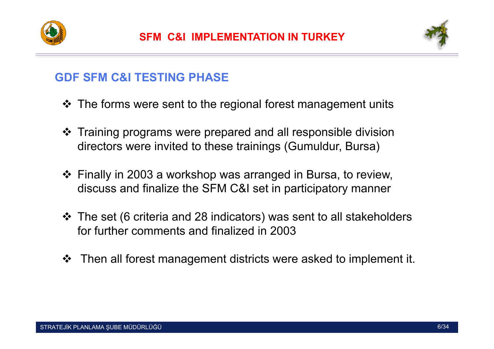



#### **GDF SFM C&I TESTING PHASE**

- ❖ The forms were sent to the regional forest management units
- Training programs were prepared and all responsible division directors were invited to these trainings (Gumuldur, Bursa)
- Finally in 2003 a workshop was arranged in Bursa, to review, discuss and finalize the SFM C&I set in participatory manner
- The set (6 criteria and 28 indicators) was sent to all stakeholders for further comments and finalized in 2003
- Then all forest management districts were asked to implement it.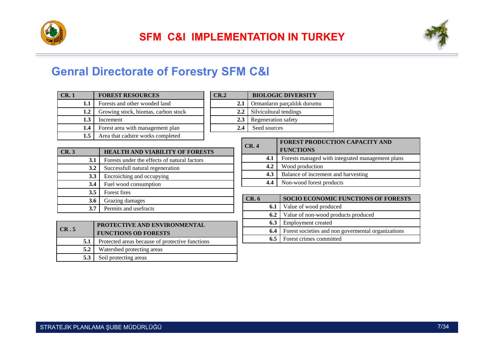



#### **Genral Directorate of Forestry SFM C&I**

| CR. 1            | <b>FOREST RESOURCES</b>             |
|------------------|-------------------------------------|
| 1.1              | Forests and other wooded land       |
| 1.2              | Growing stock, biomas, carbon stock |
| 1.3              | Increment                           |
| 1.4              | Forest area with management plan    |
| 1.5 <sub>1</sub> | Area that cadstre works completed   |

| $\mathbf{CR}.2$ | <b>BIOLOGIC DIVERSITY</b>    |
|-----------------|------------------------------|
| 2.1             | Ormanların parçalılık durumu |
| $2.2^{\circ}$   | Silvicultural tendings       |
| 2.3             | Regeneration safety          |
| 2.4             | Seed sources                 |

| CR.3 |     | <b>HEALTH AND VIABILITY OF FORESTS</b>       |
|------|-----|----------------------------------------------|
|      | 3.1 | Forests under the effects of natural factors |
|      | 3.2 | Successfull natural regeneration             |
|      | 3.3 | Encroiching and occupying                    |
|      | 3.4 | Fuel wood consumption                        |
|      | 3.5 | Forest fires                                 |
|      | 3.6 | Grazing damages                              |
|      | 3.7 | Permits and usefracts                        |

| CR.5 | PROTECTIVE AND ENVIRONMENTAL                    |
|------|-------------------------------------------------|
|      | <b>FUNCTIONS OD FORESTS</b>                     |
| 5.1  | Protected areas because of protective functions |
| 5.2  | Watershed protecting areas                      |
| 5.3  | Soil protecting areas                           |

| CR. 4 | FOREST PRODUCTION CAPACITY AND<br><b>FUNCTIONS</b> |
|-------|----------------------------------------------------|
| 4.1   | Forests managed with integrated management plans   |
| 4.2   | Wood production                                    |
| 4.3   | Balance of increment and harvesting                |
| 4.4   | Non-wood forest products                           |

| CR.6 | SOCIO ECONOMIC FUNCTIONS OF FORESTS                 |
|------|-----------------------------------------------------|
| 6.1  | Value of wood produced                              |
| 6.2  | Value of non-wood products produced                 |
| 6.3  | Employment created                                  |
| 6.4  | Forest societies and non governmental organizations |
| 6.5  | Forest crimes committed                             |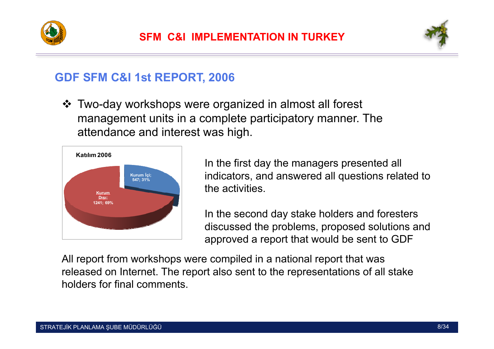



#### **GDF SFM C&I 1st REPORT, 2006**

 Two-day workshops were organized in almost all forest management units in a complete participatory manner. The attendance and interest was high.



In the first day the managers presented all indicators, and answered all questions related to the activities.

In the second day stake holders and foresters discussed the problems, proposed solutions and approved a report that would be sent to GDF

All report from workshops were compiled in a national report that was released on Internet. The report also sent to the representations of all stake holders for final comments.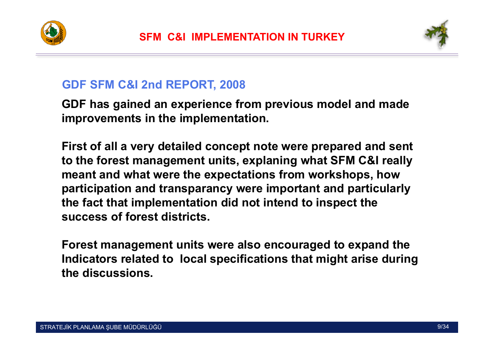



#### **GDF SFM C&I 2nd REPORT, 2008**

**GDF has gained an experience from previous model and made improvements in the implementation.** 

**First of all a very detailed concept note were prepared and sent to the forest management units, explaning what SFM C&I really meant and what were the expectations from workshops, how participation and transparancy were important and particularly the fact that implementation did not intend to inspect the success of forest districts.**

**Forest management units were also encouraged to expand the Indicators related to local specifications that might arise during the discussions.**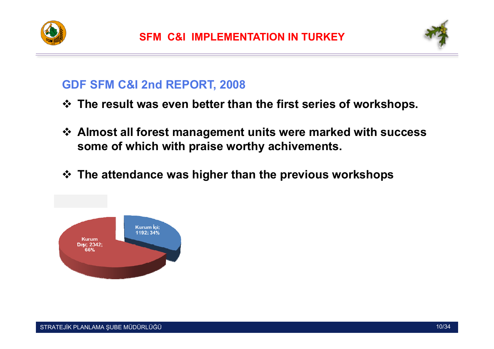



#### **GDF SFM C&I 2nd REPORT, 2008**

- **The result was even better than the first series of workshops.**
- **Almost all forest management units were marked with success some of which with praise worthy achivements.**
- **The attendance was higher than the previous workshops**

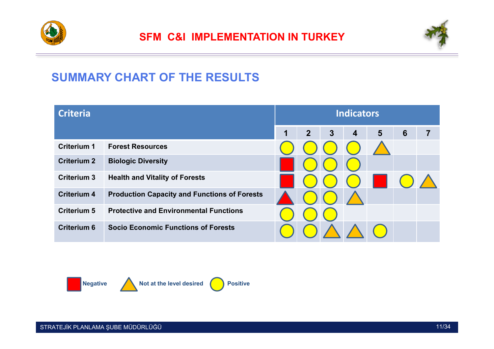



### **SUMMARY CHART OF THE RESULTS**

| <b>Criteria</b>    |                                                     | <b>Indicators</b> |                |                |                         |   |                 |  |  |
|--------------------|-----------------------------------------------------|-------------------|----------------|----------------|-------------------------|---|-----------------|--|--|
|                    |                                                     | 1                 | $\overline{2}$ | $\overline{3}$ | $\overline{\mathbf{4}}$ | 5 | $6\phantom{1}6$ |  |  |
| <b>Criterium 1</b> | <b>Forest Resources</b>                             |                   |                |                |                         |   |                 |  |  |
| <b>Criterium 2</b> | <b>Biologic Diversity</b>                           |                   |                |                |                         |   |                 |  |  |
| <b>Criterium 3</b> | <b>Health and Vitality of Forests</b>               |                   |                |                |                         |   |                 |  |  |
| <b>Criterium 4</b> | <b>Production Capacity and Functions of Forests</b> |                   |                |                |                         |   |                 |  |  |
| <b>Criterium 5</b> | <b>Protective and Environmental Functions</b>       |                   |                |                |                         |   |                 |  |  |
| <b>Criterium 6</b> | <b>Socio Economic Functions of Forests</b>          |                   |                |                |                         |   |                 |  |  |

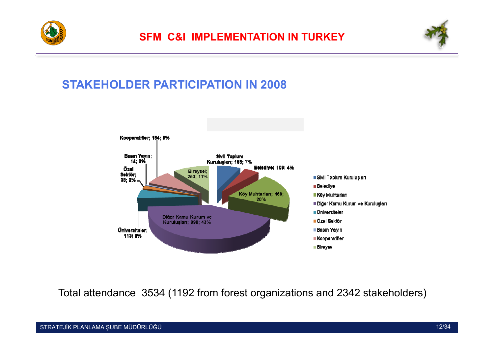



#### **STAKEHOLDER PARTICIPATION IN 2008**



Total attendance 3534 (1192 from forest organizations and 2342 stakeholders)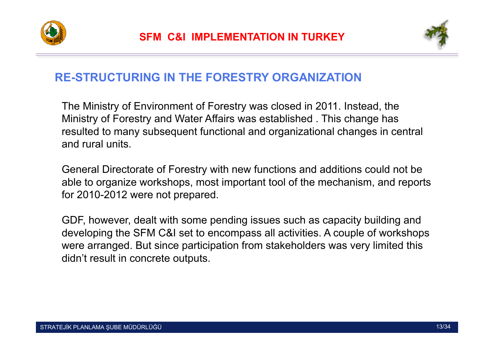



#### **RE-STRUCTURING IN THE FORESTRY ORGANIZATION**

The Ministry of Environment of Forestry was closed in 2011. Instead, the Ministry of Forestry and Water Affairs was established . This change has resulted to many subsequent functional and organizational changes in central and rural units.

General Directorate of Forestry with new functions and additions could not be able to organize workshops, most important tool of the mechanism, and reports for 2010-2012 were not prepared.

GDF, however, dealt with some pending issues such as capacity building and developing the SFM C&I set to encompass all activities. A couple of workshops were arranged. But since participation from stakeholders was very limited this didn't result in concrete outputs.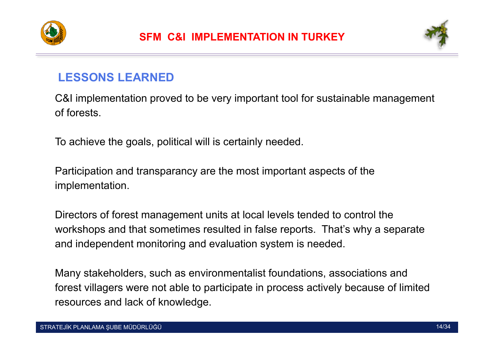



#### **LESSONS LEARNED**

C&I implementation proved to be very important tool for sustainable management of forests.

To achieve the goals, political will is certainly needed.

Participation and transparancy are the most important aspects of the implementation.

Directors of forest management units at local levels tended to control the workshops and that sometimes resulted in false reports. That's why a separate and independent monitoring and evaluation system is needed.

Many stakeholders, such as environmentalist foundations, associations and forest villagers were not able to participate in process actively because of limited resources and lack of knowledge.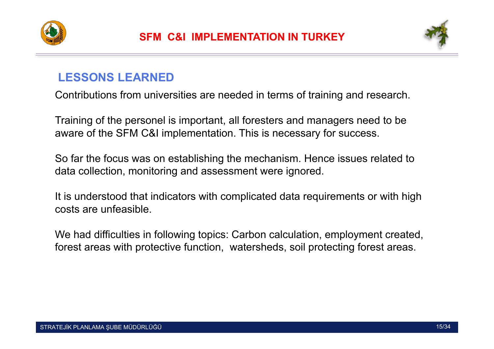



### **LESSONS LEARNED**

Contributions from universities are needed in terms of training and research.

Training of the personel is important, all foresters and managers need to be aware of the SFM C&I implementation. This is necessary for success.

So far the focus was on establishing the mechanism. Hence issues related to data collection, monitoring and assessment were ignored.

It is understood that indicators with complicated data requirements or with high costs are unfeasible.

We had difficulties in following topics: Carbon calculation, employment created, forest areas with protective function, watersheds, soil protecting forest areas.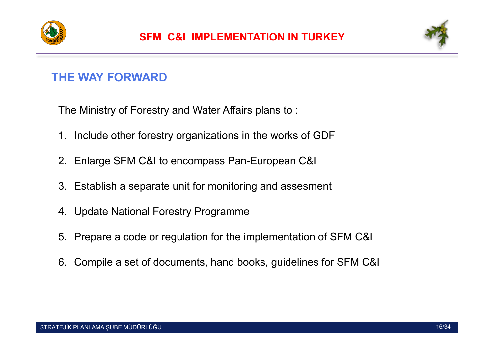



#### **THE WAY FORWARD**

The Ministry of Forestry and Water Affairs plans to :

- 1. Include other forestry organizations in the works of GDF
- 2. Enlarge SFM C&I to encompass Pan-European C&I
- 3. Establish a separate unit for monitoring and assesment
- 4. Update National Forestry Programme
- 5. Prepare a code or regulation for the implementation of SFM C&I
- 6. Compile a set of documents, hand books, guidelines for SFM C&I